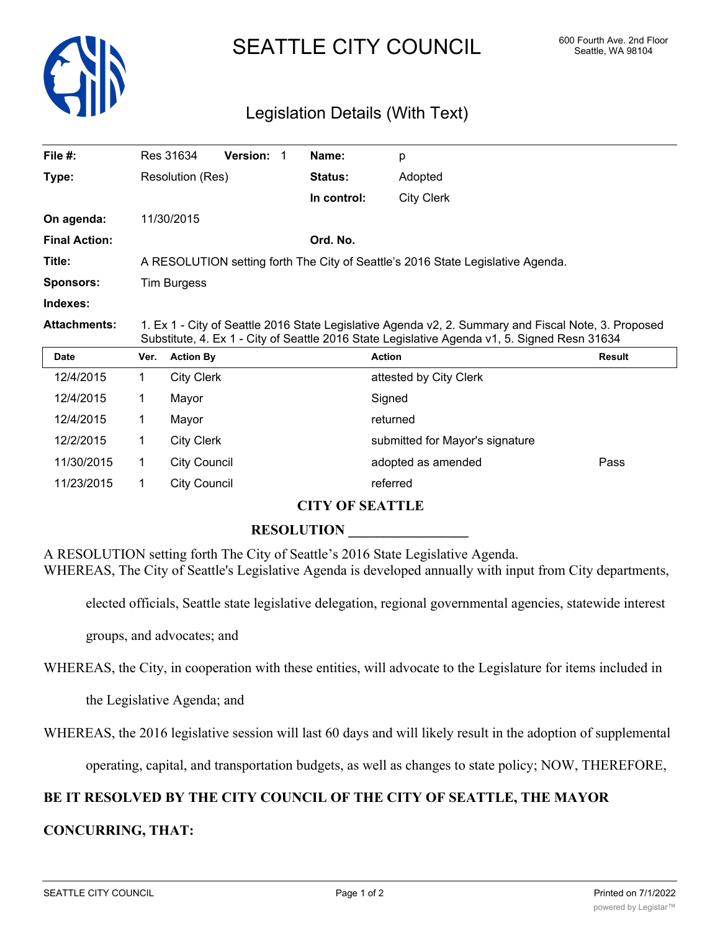

# SEATTLE CITY COUNCIL 600 Fourth Ave. 2nd Floor

# Legislation Details (With Text)

| File #:              | Res 31634                                                                       | Version: 1 |  | Name:       | p                 |
|----------------------|---------------------------------------------------------------------------------|------------|--|-------------|-------------------|
| Type:                | Resolution (Res)                                                                |            |  | Status:     | Adopted           |
|                      |                                                                                 |            |  | In control: | <b>City Clerk</b> |
| On agenda:           | 11/30/2015                                                                      |            |  |             |                   |
| <b>Final Action:</b> |                                                                                 |            |  | Ord. No.    |                   |
| Title:               | A RESOLUTION setting forth The City of Seattle's 2016 State Legislative Agenda. |            |  |             |                   |
| <b>Sponsors:</b>     | <b>Tim Burgess</b>                                                              |            |  |             |                   |
| Indexes:             |                                                                                 |            |  |             |                   |

**Attachments:** 1. Ex 1 - City of Seattle 2016 State Legislative Agenda v2, 2. Summary and Fiscal Note, 3. Proposed Substitute, 4. Ex 1 - City of Seattle 2016 State Legislative Agenda v1, 5. Signed Resn 31634

| <b>Date</b> | Ver. | <b>Action By</b>    | Action                          | Result |
|-------------|------|---------------------|---------------------------------|--------|
| 12/4/2015   |      | <b>City Clerk</b>   | attested by City Clerk          |        |
| 12/4/2015   |      | Mayor               | Signed                          |        |
| 12/4/2015   |      | Mayor               | returned                        |        |
| 12/2/2015   |      | <b>City Clerk</b>   | submitted for Mayor's signature |        |
| 11/30/2015  |      | <b>City Council</b> | adopted as amended              | Pass   |
| 11/23/2015  |      | <b>City Council</b> | referred                        |        |

## **CITY OF SEATTLE**

### **RESOLUTION \_\_\_\_\_\_\_\_\_\_\_\_\_\_\_\_\_**

A RESOLUTION setting forth The City of Seattle's 2016 State Legislative Agenda.

WHEREAS, The City of Seattle's Legislative Agenda is developed annually with input from City departments,

elected officials, Seattle state legislative delegation, regional governmental agencies, statewide interest

groups, and advocates; and

WHEREAS, the City, in cooperation with these entities, will advocate to the Legislature for items included in

the Legislative Agenda; and

WHEREAS, the 2016 legislative session will last 60 days and will likely result in the adoption of supplemental

operating, capital, and transportation budgets, as well as changes to state policy; NOW, THEREFORE,

#### **BE IT RESOLVED BY THE CITY COUNCIL OF THE CITY OF SEATTLE, THE MAYOR**

#### **CONCURRING, THAT:**